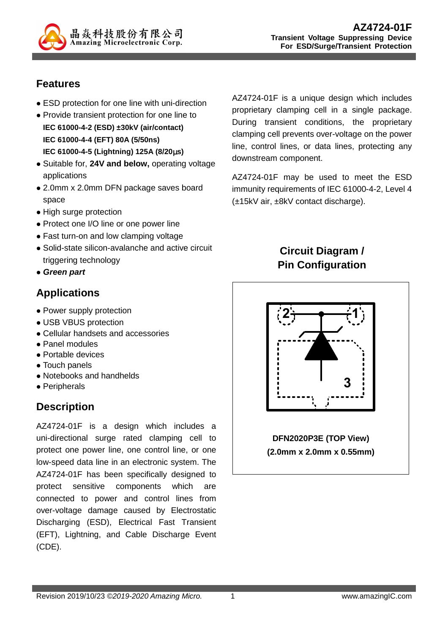

## **Features**

- ESD protection for one line with uni-direction
- Provide transient protection for one line to **IEC 61000-4-2 (ESD) ±30kV (air/contact) IEC 61000-4-4 (EFT) 80A (5/50ns) IEC 61000-4-5 (Lightning) 125A (8/20**µ**s)**
- Suitable for, **24V and below,** operating voltage applications
- 2.0mm x 2.0mm DFN package saves board space
- High surge protection
- Protect one I/O line or one power line
- Fast turn-on and low clamping voltage
- Solid-state silicon-avalanche and active circuit triggering technology
- **Green part**

## **Applications**

- Power supply protection
- USB VBUS protection
- Cellular handsets and accessories
- Panel modules
- Portable devices
- Touch panels
- Notebooks and handhelds
- Peripherals

# **Description**

AZ4724-01F is a design which includes a uni-directional surge rated clamping cell to protect one power line, one control line, or one low-speed data line in an electronic system. The AZ4724-01F has been specifically designed to protect sensitive components which are connected to power and control lines from over-voltage damage caused by Electrostatic Discharging (ESD), Electrical Fast Transient (EFT), Lightning, and Cable Discharge Event (CDE).

AZ4724-01F is a unique design which includes proprietary clamping cell in a single package. During transient conditions, the proprietary clamping cell prevents over-voltage on the power line, control lines, or data lines, protecting any downstream component.

AZ4724-01F may be used to meet the ESD immunity requirements of IEC 61000-4-2, Level 4 (±15kV air, ±8kV contact discharge).

## **Circuit Diagram / Pin Configuration**

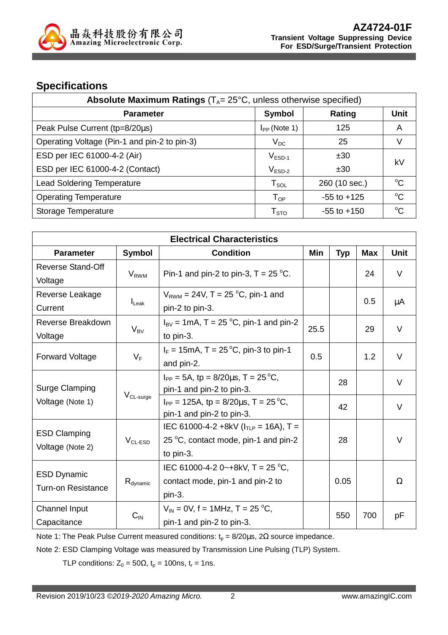

### **Specifications**

| <b>Absolute Maximum Ratings</b> ( $T_A$ = 25 $^{\circ}$ C, unless otherwise specified) |                           |                 |             |  |
|----------------------------------------------------------------------------------------|---------------------------|-----------------|-------------|--|
| <b>Parameter</b>                                                                       | Symbol                    | Rating          | <b>Unit</b> |  |
| Peak Pulse Current (tp=8/20µs)                                                         | $I_{PP}$ (Note 1)         | 125             | A           |  |
| Operating Voltage (Pin-1 and pin-2 to pin-3)                                           | $V_{DC}$                  | 25              | V           |  |
| ESD per IEC 61000-4-2 (Air)                                                            | $V_{ESD-1}$               | ±30             | k٧          |  |
| ESD per IEC 61000-4-2 (Contact)                                                        | $V_{ESD-2}$               | ±30             |             |  |
| <b>Lead Soldering Temperature</b>                                                      | ${\sf T}_{\sf SOL}$       | 260 (10 sec.)   | $\rm ^{o}C$ |  |
| <b>Operating Temperature</b>                                                           | $T_{OP}$                  | $-55$ to $+125$ | $\rm ^{o}C$ |  |
| Storage Temperature                                                                    | $\mathsf{T}_{\text{STO}}$ | $-55$ to $+150$ | $\rm ^{o}C$ |  |

| <b>Electrical Characteristics</b>                    |                                                                            |                                                                                                 |      |            |            |             |
|------------------------------------------------------|----------------------------------------------------------------------------|-------------------------------------------------------------------------------------------------|------|------------|------------|-------------|
| <b>Parameter</b>                                     | <b>Symbol</b>                                                              | <b>Condition</b>                                                                                | Min  | <b>Typ</b> | <b>Max</b> | <b>Unit</b> |
| Reverse Stand-Off<br>Voltage                         | $V_{RWM}$                                                                  | Pin-1 and pin-2 to pin-3, $T = 25$ °C.                                                          |      |            | 24         | V           |
| Reverse Leakage<br>Current                           | $I_{\text{Leak}}$                                                          | $V_{RWM}$ = 24V, T = 25 °C, pin-1 and<br>pin-2 to pin-3.                                        |      |            | 0.5        | μA          |
| Reverse Breakdown<br>Voltage                         | $V_{BV}$                                                                   | $I_{\text{BV}}$ = 1mA, T = 25 °C, pin-1 and pin-2<br>to pin-3.                                  | 25.5 |            | 29         | V           |
| <b>Forward Voltage</b>                               | $V_F$                                                                      | $I_F = 15 \text{mA}$ , T = 25 °C, pin-3 to pin-1<br>and pin-2.                                  | 0.5  |            | 1.2        | $\vee$      |
| Surge Clamping<br>$V_{CL-surge}$<br>Voltage (Note 1) | $I_{PP} = 5A$ , tp = 8/20 $\mu$ s, T = 25 °C,<br>pin-1 and pin-2 to pin-3. |                                                                                                 | 28   |            | V          |             |
|                                                      |                                                                            | $I_{PP}$ = 125A, tp = 8/20 $\mu$ s, T = 25 °C,<br>pin-1 and pin-2 to pin-3.                     |      | 42         |            | V           |
| <b>ESD Clamping</b><br>Voltage (Note 2)              | $V_{CL-ESD}$                                                               | IEC 61000-4-2 +8kV ( $I_{TLP}$ = 16A), T =<br>25 °C, contact mode, pin-1 and pin-2<br>to pin-3. |      | 28         |            | $\vee$      |
| <b>ESD Dynamic</b><br><b>Turn-on Resistance</b>      | $R_{\text{dynamic}}$                                                       | IEC 61000-4-2 0~+8kV, T = 25 °C,<br>contact mode, pin-1 and pin-2 to<br>pin-3.                  |      | 0.05       |            | Ω           |
| <b>Channel Input</b><br>Capacitance                  | $C_{IN}$                                                                   | $V_{IN}$ = 0V, f = 1MHz, T = 25 °C,<br>pin-1 and pin-2 to pin-3.                                |      | 550        | 700        | pF          |

Note 1: The Peak Pulse Current measured conditions:  $t_0 = 8/20 \mu s$ , 2 $\Omega$  source impedance.

Note 2: ESD Clamping Voltage was measured by Transmission Line Pulsing (TLP) System.

TLP conditions:  $Z_0 = 50\Omega$ ,  $t_p = 100$ ns,  $t_r = 1$ ns.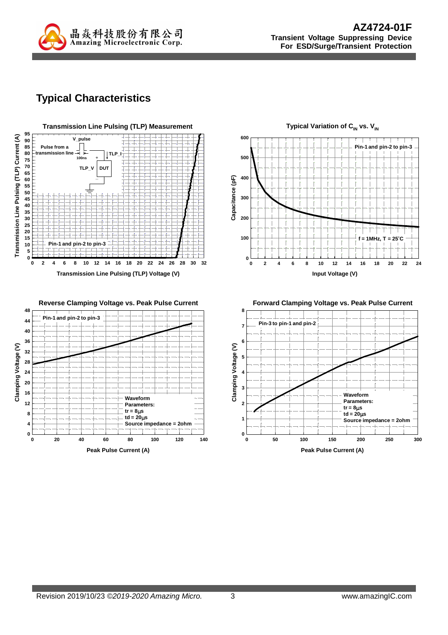

## **Typical Characteristics**





**Reverse Clamping Voltage vs. Peak Pulse Current 48 Pin-1 and pin-2 to pin-3 44 40 36** Clamping Voltage (V) **Clamping Voltage (V) 32 28 24 20 16 Waveform 12 Parameters: tr = 8**µ**s 8 td = 20**µ**s 4 Source impedance = 2ohm 0 0 20 40 60 80 100 120 140 Peak Pulse Current (A)**



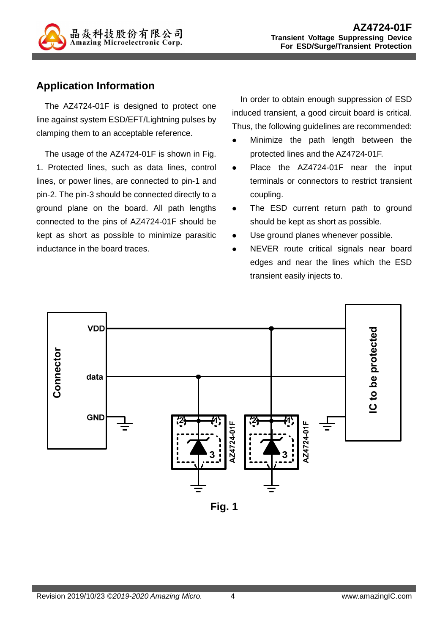

## **Application Information**

The AZ4724-01F is designed to protect one line against system ESD/EFT/Lightning pulses by clamping them to an acceptable reference.

The usage of the AZ4724-01F is shown in Fig. 1. Protected lines, such as data lines, control lines, or power lines, are connected to pin-1 and pin-2. The pin-3 should be connected directly to a ground plane on the board. All path lengths connected to the pins of AZ4724-01F should be kept as short as possible to minimize parasitic inductance in the board traces.

In order to obtain enough suppression of ESD induced transient, a good circuit board is critical. Thus, the following guidelines are recommended:

- Minimize the path length between the protected lines and the AZ4724-01F.
- Place the AZ4724-01F near the input terminals or connectors to restrict transient coupling.
- The ESD current return path to ground should be kept as short as possible.
- Use ground planes whenever possible.
- NEVER route critical signals near board edges and near the lines which the ESD transient easily injects to.



**Fig. 1**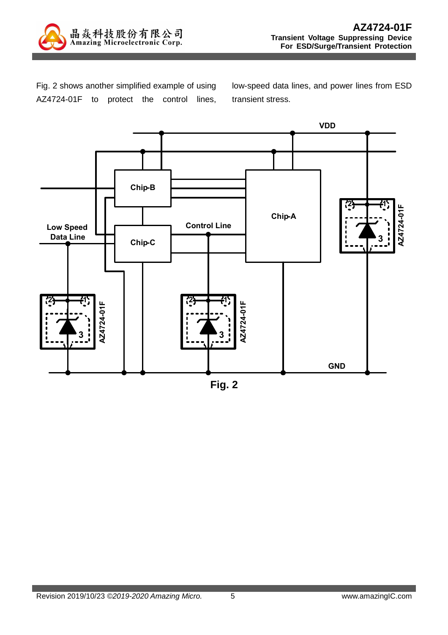

Fig. 2 shows another simplified example of using AZ4724-01F to protect the control lines, low-speed data lines, and power lines from ESD transient stress.



**Fig. 2**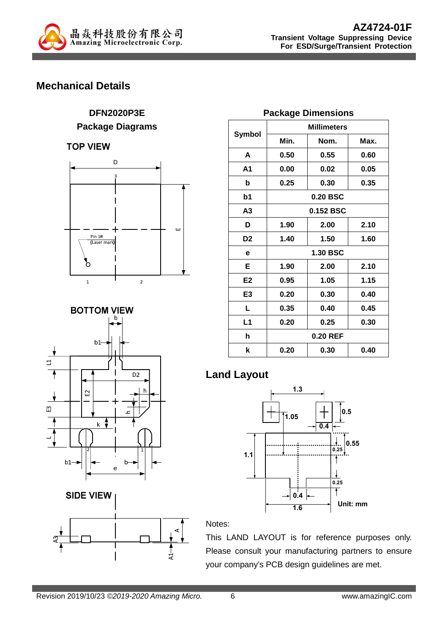

## **Mechanical Details**

# **DFN2020P3E**

#### **Package Diagrams**

**TOP VIEW** 







| <b>Package Dimensions</b> |                    |      |  |  |
|---------------------------|--------------------|------|--|--|
| Symbol                    | <b>Millimeters</b> |      |  |  |
|                           | Min.               | Nom. |  |  |
|                           |                    |      |  |  |

|                | Min.      | Nom.     | Max. |
|----------------|-----------|----------|------|
| A              | 0.50      | 0.55     | 0.60 |
| Α1             | 0.00      | 0.02     | 0.05 |
| b              | 0.25      | 0.30     | 0.35 |
| b1             |           | 0.20 BSC |      |
| A3             | 0.152 BSC |          |      |
| D              | 1.90      | 2.00     | 2.10 |
| D <sub>2</sub> | 1.40      | 1.50     | 1.60 |
| е              | 1.30 BSC  |          |      |
| Е              | 1.90      | 2.00     | 2.10 |
| E <sub>2</sub> | 0.95      | 1.05     | 1.15 |
| E <sub>3</sub> | 0.20      | 0.30     | 0.40 |
| L.             | 0.35      | 0.40     | 0.45 |
| L1             | 0.20      | 0.25     | 0.30 |
| h              | 0.20 REF  |          |      |
| k              | 0.20      | 0.30     | 0.40 |
|                |           |          |      |

### **Land Layout**



#### Notes:

This LAND LAYOUT is for reference purposes only. Please consult your manufacturing partners to ensure your company's PCB design guidelines are met.